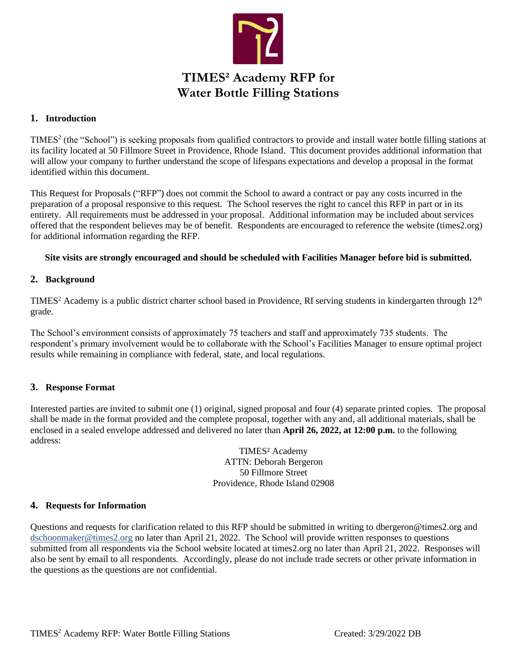

# **TIMES² Academy RFP for Water Bottle Filling Stations**

#### **1. Introduction**

TIMES<sup>2</sup> (the "School") is seeking proposals from qualified contractors to provide and install water bottle filling stations at its facility located at 50 Fillmore Street in Providence, Rhode Island. This document provides additional information that will allow your company to further understand the scope of lifespans expectations and develop a proposal in the format identified within this document.

This Request for Proposals ("RFP") does not commit the School to award a contract or pay any costs incurred in the preparation of a proposal responsive to this request. The School reserves the right to cancel this RFP in part or in its entirety. All requirements must be addressed in your proposal. Additional information may be included about services offered that the respondent believes may be of benefit. Respondents are encouraged to reference the website (times2.org) for additional information regarding the RFP.

#### **Site visits are strongly encouraged and should be scheduled with Facilities Manager before bid is submitted.**

#### **2. Background**

TIMES<sup>2</sup> Academy is a public district charter school based in Providence, RI serving students in kindergarten through  $12<sup>th</sup>$ grade.

The School's environment consists of approximately 75 teachers and staff and approximately 735 students. The respondent's primary involvement would be to collaborate with the School's Facilities Manager to ensure optimal project results while remaining in compliance with federal, state, and local regulations.

#### **3. Response Format**

Interested parties are invited to submit one (1) original, signed proposal and four (4) separate printed copies. The proposal shall be made in the format provided and the complete proposal, together with any and, all additional materials, shall be enclosed in a sealed envelope addressed and delivered no later than **April 26, 2022, at 12:00 p.m.** to the following address:

> TIMES² Academy ATTN: Deborah Bergeron 50 Fillmore Street Providence, Rhode Island 02908

#### **4. Requests for Information**

Questions and requests for clarification related to this RFP should be submitted in writing to dbergeron@times2.org and [dschoonmaker@times2.org](mailto:dschoonmaker@times2.org) no later than April 21, 2022. The School will provide written responses to questions submitted from all respondents via the School website located at times2.org no later than April 21, 2022. Responses will also be sent by email to all respondents. Accordingly, please do not include trade secrets or other private information in the questions as the questions are not confidential.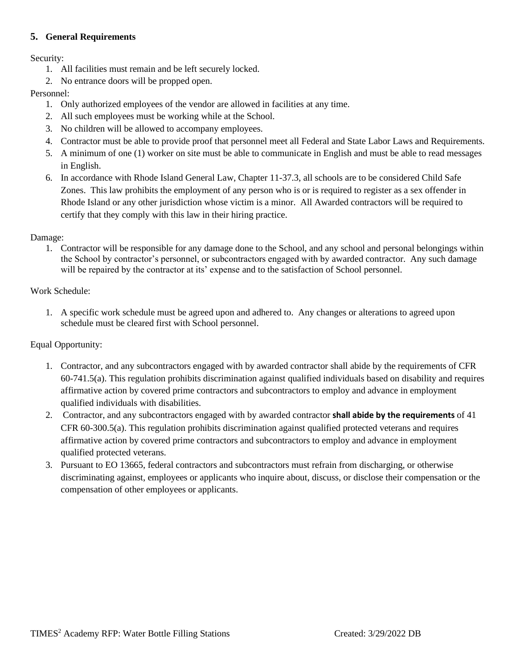# **5. General Requirements**

Security:

- 1. All facilities must remain and be left securely locked.
- 2. No entrance doors will be propped open.

# Personnel:

- 1. Only authorized employees of the vendor are allowed in facilities at any time.
- 2. All such employees must be working while at the School.
- 3. No children will be allowed to accompany employees.
- 4. Contractor must be able to provide proof that personnel meet all Federal and State Labor Laws and Requirements.
- 5. A minimum of one (1) worker on site must be able to communicate in English and must be able to read messages in English.
- 6. In accordance with Rhode Island General Law, Chapter 11-37.3, all schools are to be considered Child Safe Zones. This law prohibits the employment of any person who is or is required to register as a sex offender in Rhode Island or any other jurisdiction whose victim is a minor. All Awarded contractors will be required to certify that they comply with this law in their hiring practice.

# Damage:

1. Contractor will be responsible for any damage done to the School, and any school and personal belongings within the School by contractor's personnel, or subcontractors engaged with by awarded contractor. Any such damage will be repaired by the contractor at its' expense and to the satisfaction of School personnel.

Work Schedule:

1. A specific work schedule must be agreed upon and adhered to. Any changes or alterations to agreed upon schedule must be cleared first with School personnel.

Equal Opportunity:

- 1. Contractor, and any subcontractors engaged with by awarded contractor shall abide by the requirements of CFR 60-741.5(a). This regulation prohibits discrimination against qualified individuals based on disability and requires affirmative action by covered prime contractors and subcontractors to employ and advance in employment qualified individuals with disabilities.
- 2. Contractor, and any subcontractors engaged with by awarded contractor **shall abide by the requirements** of 41 CFR 60-300.5(a). This regulation prohibits discrimination against qualified protected veterans and requires affirmative action by covered prime contractors and subcontractors to employ and advance in employment qualified protected veterans.
- 3. Pursuant to EO 13665, federal contractors and subcontractors must refrain from discharging, or otherwise discriminating against, employees or applicants who inquire about, discuss, or disclose their compensation or the compensation of other employees or applicants.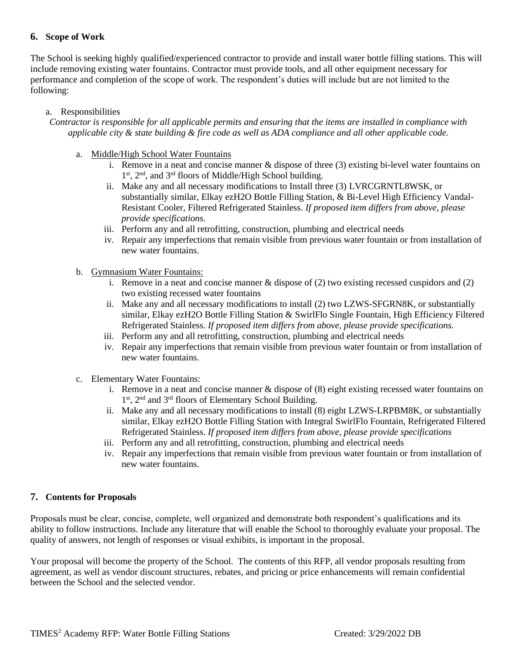# **6. Scope of Work**

The School is seeking highly qualified/experienced contractor to provide and install water bottle filling stations. This will include removing existing water fountains. Contractor must provide tools, and all other equipment necessary for performance and completion of the scope of work. The respondent's duties will include but are not limited to the following:

#### a. Responsibilities

*Contractor is responsible for all applicable permits and ensuring that the items are installed in compliance with applicable city & state building & fire code as well as ADA compliance and all other applicable code.*

- a. Middle/High School Water Fountains
	- i. Remove in a neat and concise manner  $\&$  dispose of three (3) existing bi-level water fountains on 1<sup>st</sup>, 2<sup>nd</sup>, and 3<sup>rd</sup> floors of Middle/High School building.
	- ii. Make any and all necessary modifications to Install three (3) LVRCGRNTL8WSK, or substantially similar, Elkay ezH2O Bottle Filling Station, & Bi-Level High Efficiency Vandal-Resistant Cooler, Filtered Refrigerated Stainless. *If proposed item differs from above, please provide specifications.*
	- iii. Perform any and all retrofitting, construction, plumbing and electrical needs
	- iv. Repair any imperfections that remain visible from previous water fountain or from installation of new water fountains.
- b. Gymnasium Water Fountains:
	- i. Remove in a neat and concise manner  $\&$  dispose of (2) two existing recessed cuspidors and (2) two existing recessed water fountains
	- ii. Make any and all necessary modifications to install (2) two LZWS-SFGRN8K, or substantially similar, Elkay ezH2O Bottle Filling Station & SwirlFlo Single Fountain, High Efficiency Filtered Refrigerated Stainless. *If proposed item differs from above, please provide specifications.*
	- iii. Perform any and all retrofitting, construction, plumbing and electrical needs
	- iv. Repair any imperfections that remain visible from previous water fountain or from installation of new water fountains.
- c. Elementary Water Fountains:
	- i. Remove in a neat and concise manner & dispose of (8) eight existing recessed water fountains on 1<sup>st</sup>, 2<sup>nd</sup> and 3<sup>rd</sup> floors of Elementary School Building.
	- ii. Make any and all necessary modifications to install (8) eight LZWS-LRPBM8K, or substantially similar, Elkay ezH2O Bottle Filling Station with Integral SwirlFlo Fountain, Refrigerated Filtered Refrigerated Stainless. *If proposed item differs from above, please provide specifications*
	- iii. Perform any and all retrofitting, construction, plumbing and electrical needs
	- iv. Repair any imperfections that remain visible from previous water fountain or from installation of new water fountains.

#### **7. Contents for Proposals**

Proposals must be clear, concise, complete, well organized and demonstrate both respondent's qualifications and its ability to follow instructions. Include any literature that will enable the School to thoroughly evaluate your proposal. The quality of answers, not length of responses or visual exhibits, is important in the proposal.

Your proposal will become the property of the School. The contents of this RFP, all vendor proposals resulting from agreement, as well as vendor discount structures, rebates, and pricing or price enhancements will remain confidential between the School and the selected vendor.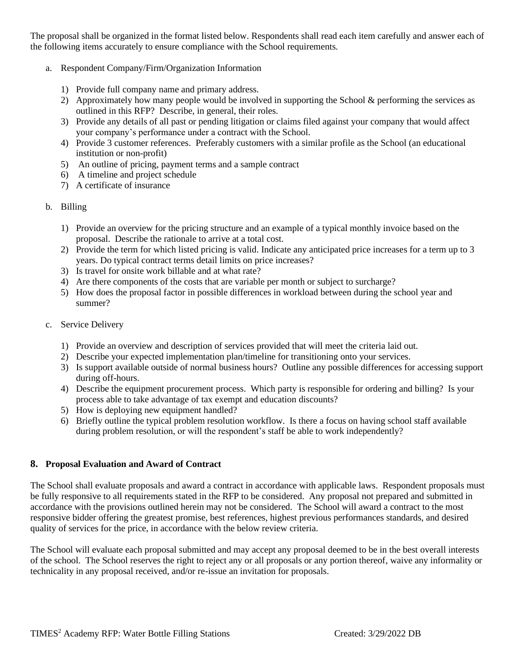The proposal shall be organized in the format listed below. Respondents shall read each item carefully and answer each of the following items accurately to ensure compliance with the School requirements.

- a. Respondent Company/Firm/Organization Information
	- 1) Provide full company name and primary address.
	- 2) Approximately how many people would be involved in supporting the School & performing the services as outlined in this RFP? Describe, in general, their roles.
	- 3) Provide any details of all past or pending litigation or claims filed against your company that would affect your company's performance under a contract with the School.
	- 4) Provide 3 customer references. Preferably customers with a similar profile as the School (an educational institution or non-profit)
	- 5) An outline of pricing, payment terms and a sample contract
	- 6) A timeline and project schedule
	- 7) A certificate of insurance
- b. Billing
	- 1) Provide an overview for the pricing structure and an example of a typical monthly invoice based on the proposal. Describe the rationale to arrive at a total cost.
	- 2) Provide the term for which listed pricing is valid. Indicate any anticipated price increases for a term up to 3 years. Do typical contract terms detail limits on price increases?
	- 3) Is travel for onsite work billable and at what rate?
	- 4) Are there components of the costs that are variable per month or subject to surcharge?
	- 5) How does the proposal factor in possible differences in workload between during the school year and summer?
- c. Service Delivery
	- 1) Provide an overview and description of services provided that will meet the criteria laid out.
	- 2) Describe your expected implementation plan/timeline for transitioning onto your services.
	- 3) Is support available outside of normal business hours? Outline any possible differences for accessing support during off-hours.
	- 4) Describe the equipment procurement process. Which party is responsible for ordering and billing? Is your process able to take advantage of tax exempt and education discounts?
	- 5) How is deploying new equipment handled?
	- 6) Briefly outline the typical problem resolution workflow. Is there a focus on having school staff available during problem resolution, or will the respondent's staff be able to work independently?

# **8. Proposal Evaluation and Award of Contract**

The School shall evaluate proposals and award a contract in accordance with applicable laws. Respondent proposals must be fully responsive to all requirements stated in the RFP to be considered. Any proposal not prepared and submitted in accordance with the provisions outlined herein may not be considered. The School will award a contract to the most responsive bidder offering the greatest promise, best references, highest previous performances standards, and desired quality of services for the price, in accordance with the below review criteria.

The School will evaluate each proposal submitted and may accept any proposal deemed to be in the best overall interests of the school. The School reserves the right to reject any or all proposals or any portion thereof, waive any informality or technicality in any proposal received, and/or re-issue an invitation for proposals.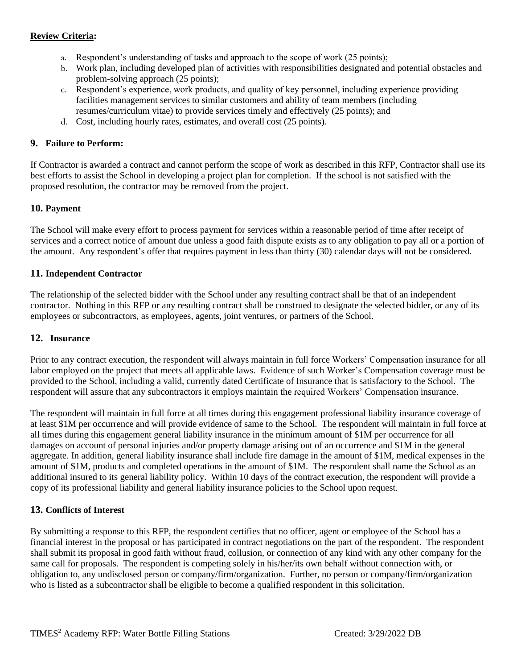## **Review Criteria:**

- a. Respondent's understanding of tasks and approach to the scope of work (25 points);
- b. Work plan, including developed plan of activities with responsibilities designated and potential obstacles and problem-solving approach (25 points);
- c. Respondent's experience, work products, and quality of key personnel, including experience providing facilities management services to similar customers and ability of team members (including resumes/curriculum vitae) to provide services timely and effectively (25 points); and
- d. Cost, including hourly rates, estimates, and overall cost (25 points).

#### **9. Failure to Perform:**

If Contractor is awarded a contract and cannot perform the scope of work as described in this RFP, Contractor shall use its best efforts to assist the School in developing a project plan for completion. If the school is not satisfied with the proposed resolution, the contractor may be removed from the project.

#### **10. Payment**

The School will make every effort to process payment for services within a reasonable period of time after receipt of services and a correct notice of amount due unless a good faith dispute exists as to any obligation to pay all or a portion of the amount. Any respondent's offer that requires payment in less than thirty (30) calendar days will not be considered.

#### **11. Independent Contractor**

The relationship of the selected bidder with the School under any resulting contract shall be that of an independent contractor. Nothing in this RFP or any resulting contract shall be construed to designate the selected bidder, or any of its employees or subcontractors, as employees, agents, joint ventures, or partners of the School.

#### **12. Insurance**

Prior to any contract execution, the respondent will always maintain in full force Workers' Compensation insurance for all labor employed on the project that meets all applicable laws. Evidence of such Worker's Compensation coverage must be provided to the School, including a valid, currently dated Certificate of Insurance that is satisfactory to the School. The respondent will assure that any subcontractors it employs maintain the required Workers' Compensation insurance.

The respondent will maintain in full force at all times during this engagement professional liability insurance coverage of at least \$1M per occurrence and will provide evidence of same to the School. The respondent will maintain in full force at all times during this engagement general liability insurance in the minimum amount of \$1M per occurrence for all damages on account of personal injuries and/or property damage arising out of an occurrence and \$1M in the general aggregate. In addition, general liability insurance shall include fire damage in the amount of \$1M, medical expenses in the amount of \$1M, products and completed operations in the amount of \$1M. The respondent shall name the School as an additional insured to its general liability policy. Within 10 days of the contract execution, the respondent will provide a copy of its professional liability and general liability insurance policies to the School upon request.

#### **13. Conflicts of Interest**

By submitting a response to this RFP, the respondent certifies that no officer, agent or employee of the School has a financial interest in the proposal or has participated in contract negotiations on the part of the respondent. The respondent shall submit its proposal in good faith without fraud, collusion, or connection of any kind with any other company for the same call for proposals. The respondent is competing solely in his/her/its own behalf without connection with, or obligation to, any undisclosed person or company/firm/organization. Further, no person or company/firm/organization who is listed as a subcontractor shall be eligible to become a qualified respondent in this solicitation.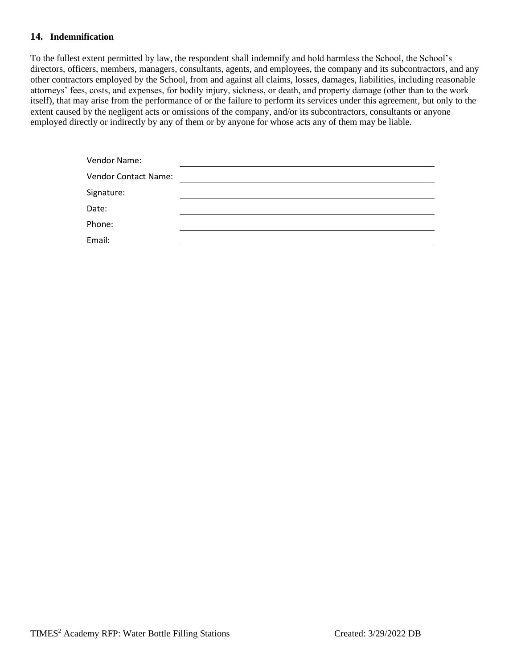#### **14. Indemnification**

To the fullest extent permitted by law, the respondent shall indemnify and hold harmless the School, the School's directors, officers, members, managers, consultants, agents, and employees, the company and its subcontractors, and any other contractors employed by the School, from and against all claims, losses, damages, liabilities, including reasonable attorneys' fees, costs, and expenses, for bodily injury, sickness, or death, and property damage (other than to the work itself), that may arise from the performance of or the failure to perform its services under this agreement, but only to the extent caused by the negligent acts or omissions of the company, and/or its subcontractors, consultants or anyone employed directly or indirectly by any of them or by anyone for whose acts any of them may be liable.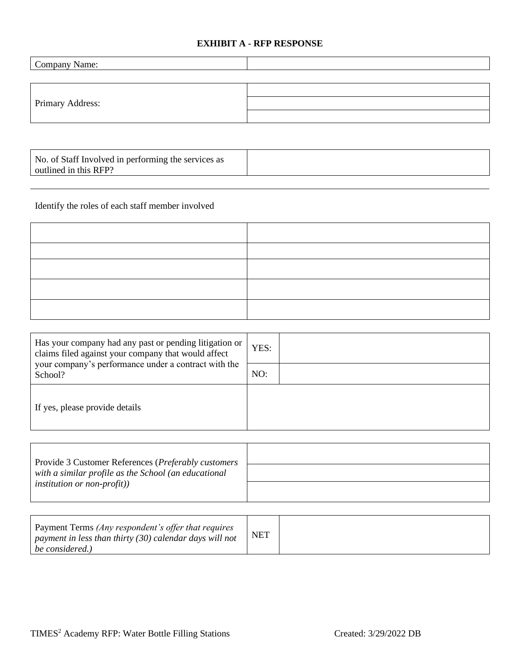# **EXHIBIT A - RFP RESPONSE**

| Company Name:    |  |
|------------------|--|
|                  |  |
| Primary Address: |  |
|                  |  |
|                  |  |

| No. of Staff Involved in performing the services as<br>outlined in this RFP? |  |
|------------------------------------------------------------------------------|--|
|                                                                              |  |

Identify the roles of each staff member involved

| Has your company had any past or pending litigation or<br>claims filed against your company that would affect<br>your company's performance under a contract with the | YES: |
|-----------------------------------------------------------------------------------------------------------------------------------------------------------------------|------|
| School?                                                                                                                                                               | NO:  |
| If yes, please provide details                                                                                                                                        |      |

| Provide 3 Customer References ( <i>Preferably customers</i> ) |  |
|---------------------------------------------------------------|--|
| with a similar profile as the School (an educational          |  |
| <i>institution or non-profit</i> ))                           |  |

| Payment Terms (Any respondent's offer that requires<br>payment in less than thirty (30) calendar days will not<br>be considered.) | <b>NET</b> |  |
|-----------------------------------------------------------------------------------------------------------------------------------|------------|--|
|-----------------------------------------------------------------------------------------------------------------------------------|------------|--|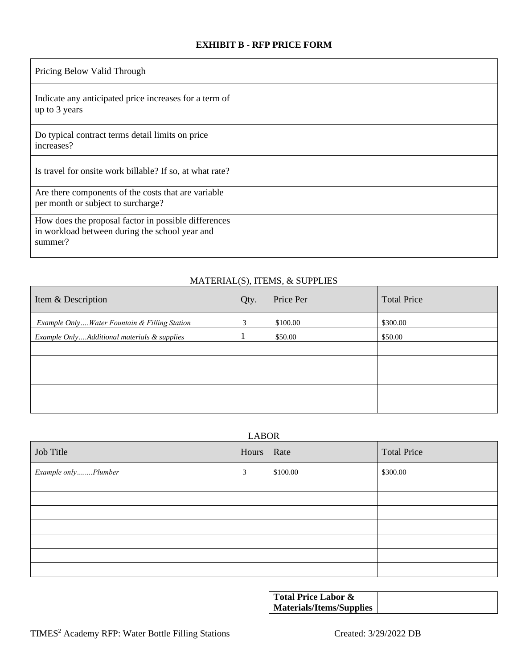# **EXHIBIT B - RFP PRICE FORM**

| Pricing Below Valid Through                                                                                       |  |
|-------------------------------------------------------------------------------------------------------------------|--|
| Indicate any anticipated price increases for a term of<br>up to 3 years                                           |  |
| Do typical contract terms detail limits on price<br>increases?                                                    |  |
| Is travel for onsite work billable? If so, at what rate?                                                          |  |
| Are there components of the costs that are variable<br>per month or subject to surcharge?                         |  |
| How does the proposal factor in possible differences<br>in workload between during the school year and<br>summer? |  |

# MATERIAL(S), ITEMS, & SUPPLIES

| Item & Description                           | Qty. | Price Per | <b>Total Price</b> |
|----------------------------------------------|------|-----------|--------------------|
| Example OnlyWater Fountain & Filling Station | 3    | \$100.00  | \$300.00           |
| Example OnlyAdditional materials & supplies  |      | \$50.00   | \$50.00            |
|                                              |      |           |                    |
|                                              |      |           |                    |
|                                              |      |           |                    |
|                                              |      |           |                    |
|                                              |      |           |                    |

|  |  | о. |
|--|--|----|
|  |  |    |

| Job Title           | Hours | Rate     | <b>Total Price</b> |
|---------------------|-------|----------|--------------------|
| Example onlyPlumber | 3     | \$100.00 | \$300.00           |
|                     |       |          |                    |
|                     |       |          |                    |
|                     |       |          |                    |
|                     |       |          |                    |
|                     |       |          |                    |
|                     |       |          |                    |
|                     |       |          |                    |

**Total Price Labor & Materials/Items/Supplies**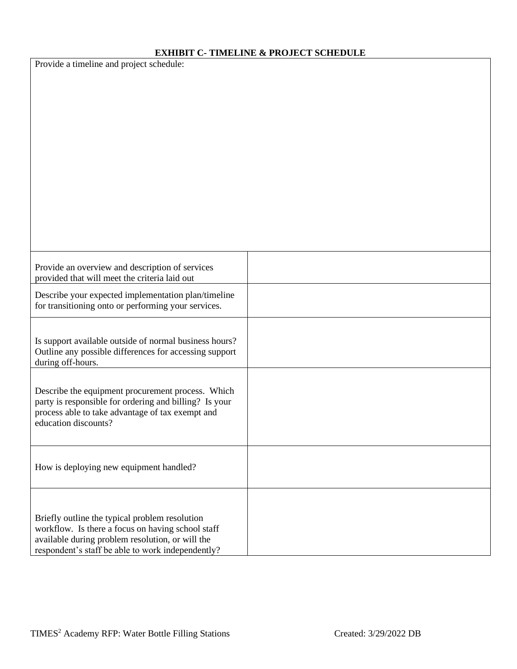# **EXHIBIT C- TIMELINE & PROJECT SCHEDULE**

| Provide a timeline and project schedule: |  |
|------------------------------------------|--|
|------------------------------------------|--|

| Provide an overview and description of services<br>provided that will meet the criteria laid out                                                                                                             |  |
|--------------------------------------------------------------------------------------------------------------------------------------------------------------------------------------------------------------|--|
| Describe your expected implementation plan/timeline<br>for transitioning onto or performing your services.                                                                                                   |  |
| Is support available outside of normal business hours?<br>Outline any possible differences for accessing support<br>during off-hours.                                                                        |  |
| Describe the equipment procurement process. Which<br>party is responsible for ordering and billing? Is your<br>process able to take advantage of tax exempt and<br>education discounts?                      |  |
| How is deploying new equipment handled?                                                                                                                                                                      |  |
| Briefly outline the typical problem resolution<br>workflow. Is there a focus on having school staff<br>available during problem resolution, or will the<br>respondent's staff be able to work independently? |  |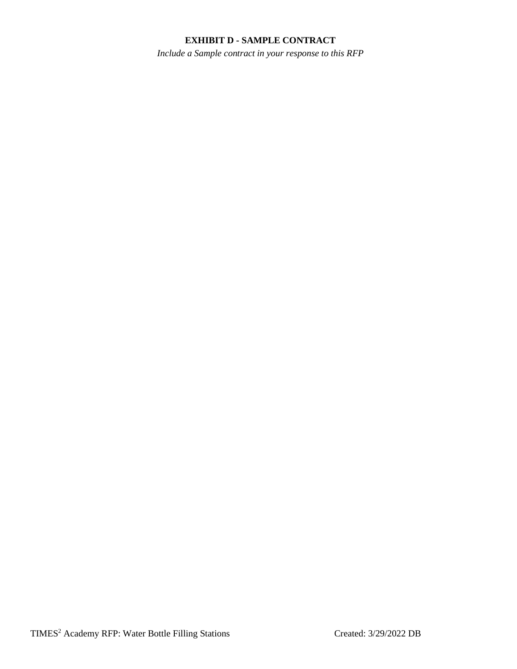## **EXHIBIT D - SAMPLE CONTRACT**

*Include a Sample contract in your response to this RFP*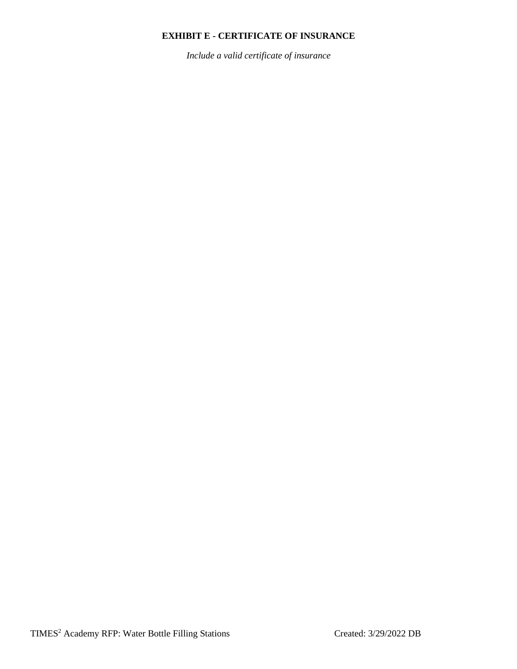# **EXHIBIT E - CERTIFICATE OF INSURANCE**

*Include a valid certificate of insurance*